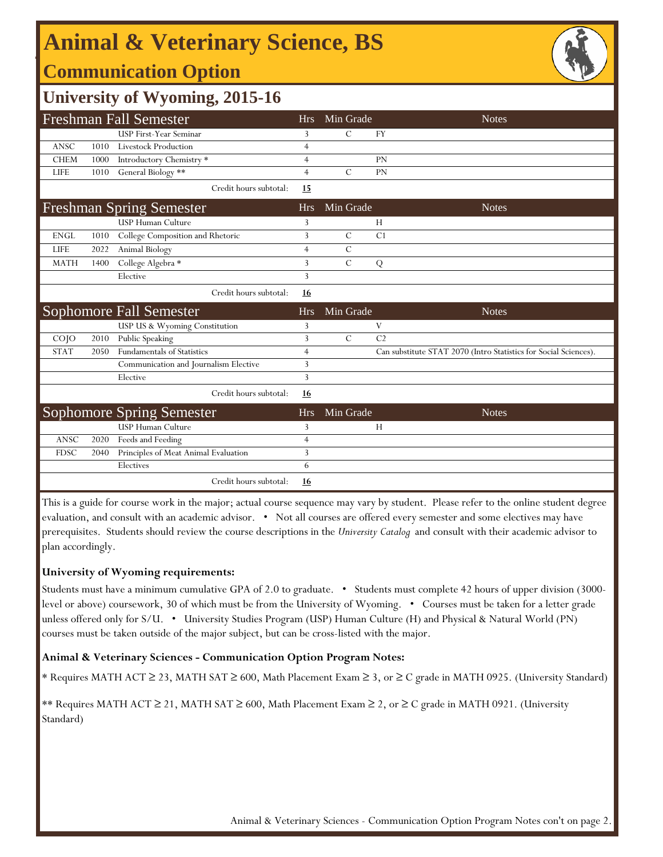# **Animal & Veterinary Science, BS**

### **Communication Option**



## **University of Wyoming, 2015-16**

| <b>Freshman Fall Semester</b> |      |                                       | <b>Hrs</b>     | Min Grade     |                | <b>Notes</b>                                                     |
|-------------------------------|------|---------------------------------------|----------------|---------------|----------------|------------------------------------------------------------------|
|                               |      | <b>USP First-Year Seminar</b>         | 3              | $\mathcal{C}$ | <b>FY</b>      |                                                                  |
| <b>ANSC</b>                   | 1010 | <b>Livestock Production</b>           | $\overline{4}$ |               |                |                                                                  |
| <b>CHEM</b>                   | 1000 | Introductory Chemistry *              | 4              |               | PN             |                                                                  |
| <b>LIFE</b>                   | 1010 | General Biology **                    | $\overline{4}$ | $\mathcal{C}$ | PN             |                                                                  |
|                               |      | Credit hours subtotal:                | 15             |               |                |                                                                  |
|                               |      | <b>Freshman Spring Semester</b>       | <b>Hrs</b>     | Min Grade     |                | <b>Notes</b>                                                     |
|                               |      | <b>USP Human Culture</b>              | 3              |               | H              |                                                                  |
| <b>ENGL</b>                   | 1010 | College Composition and Rhetoric      | 3              | $\mathcal{C}$ | C1             |                                                                  |
| <b>LIFE</b>                   | 2022 | Animal Biology                        | $\overline{4}$ | $\mathcal{C}$ |                |                                                                  |
| <b>MATH</b>                   | 1400 | College Algebra *                     | 3              | $\mathcal{C}$ | Q              |                                                                  |
|                               |      | Elective                              | 3              |               |                |                                                                  |
|                               |      | Credit hours subtotal:                | 16             |               |                |                                                                  |
|                               |      |                                       |                |               |                |                                                                  |
|                               |      | Sophomore Fall Semester               | <b>Hrs</b>     | Min Grade     |                | <b>Notes</b>                                                     |
|                               |      | USP US & Wyoming Constitution         | 3              |               | V              |                                                                  |
| $CO$ $JO$                     | 2010 | Public Speaking                       | 3              | $\mathcal{C}$ | C <sub>2</sub> |                                                                  |
| <b>STAT</b>                   | 2050 | <b>Fundamentals of Statistics</b>     | $\overline{4}$ |               |                | Can substitute STAT 2070 (Intro Statistics for Social Sciences). |
|                               |      | Communication and Journalism Elective | 3              |               |                |                                                                  |
|                               |      | Elective                              | 3              |               |                |                                                                  |
|                               |      | Credit hours subtotal:                | <u>16</u>      |               |                |                                                                  |
|                               |      | <b>Sophomore Spring Semester</b>      | <b>Hrs</b>     | Min Grade     |                | <b>Notes</b>                                                     |
|                               |      | USP Human Culture                     | 3              |               | H              |                                                                  |
| <b>ANSC</b>                   | 2020 | Feeds and Feeding                     | $\overline{4}$ |               |                |                                                                  |
| <b>FDSC</b>                   | 2040 | Principles of Meat Animal Evaluation  | 3              |               |                |                                                                  |
|                               |      | Electives                             | 6              |               |                |                                                                  |

This is a guide for course work in the major; actual course sequence may vary by student. Please refer to the online student degree evaluation, and consult with an academic advisor. • Not all courses are offered every semester and some electives may have prerequisites. Students should review the course descriptions in the *University Catalog* and consult with their academic advisor to plan accordingly.

#### **University of Wyoming requirements:**

Students must have a minimum cumulative GPA of 2.0 to graduate. • Students must complete 42 hours of upper division (3000 level or above) coursework, 30 of which must be from the University of Wyoming. • Courses must be taken for a letter grade unless offered only for S/U. • University Studies Program (USP) Human Culture (H) and Physical & Natural World (PN) courses must be taken outside of the major subject, but can be cross-listed with the major.

#### **Animal & Veterinary Sciences - Communication Option Program Notes:**

\* Requires MATH ACT ≥ 23, MATH SAT ≥ 600, Math Placement Exam ≥ 3, or ≥ C grade in MATH 0925. (University Standard)

\*\* Requires MATH ACT ≥ 21, MATH SAT ≥ 600, Math Placement Exam ≥ 2, or ≥ C grade in MATH 0921. (University Standard)